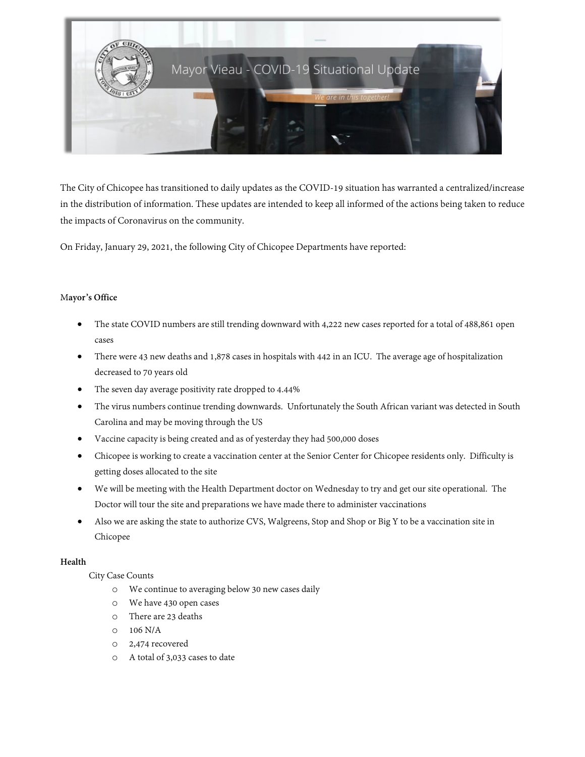

The City of Chicopee has transitioned to daily updates as the COVID-19 situation has warranted a centralized/increase in the distribution of information. These updates are intended to keep all informed of the actions being taken to reduce the impacts of Coronavirus on the community.

On Friday, January 29, 2021, the following City of Chicopee Departments have reported:

# M**ayor's Office**

- The state COVID numbers are still trending downward with 4,222 new cases reported for a total of 488,861 open cases
- There were 43 new deaths and 1,878 cases in hospitals with 442 in an ICU. The average age of hospitalization decreased to 70 years old
- The seven day average positivity rate dropped to 4.44%
- The virus numbers continue trending downwards. Unfortunately the South African variant was detected in South Carolina and may be moving through the US
- Vaccine capacity is being created and as of yesterday they had 500,000 doses
- Chicopee is working to create a vaccination center at the Senior Center for Chicopee residents only. Difficulty is getting doses allocated to the site
- We will be meeting with the Health Department doctor on Wednesday to try and get our site operational. The Doctor will tour the site and preparations we have made there to administer vaccinations
- Also we are asking the state to authorize CVS, Walgreens, Stop and Shop or Big Y to be a vaccination site in Chicopee

### **Health**

### City Case Counts

- o We continue to averaging below 30 new cases daily
- o We have 430 open cases
- o There are 23 deaths
- $0 \t106 N/A$
- o 2,474 recovered
- o A total of 3,033 cases to date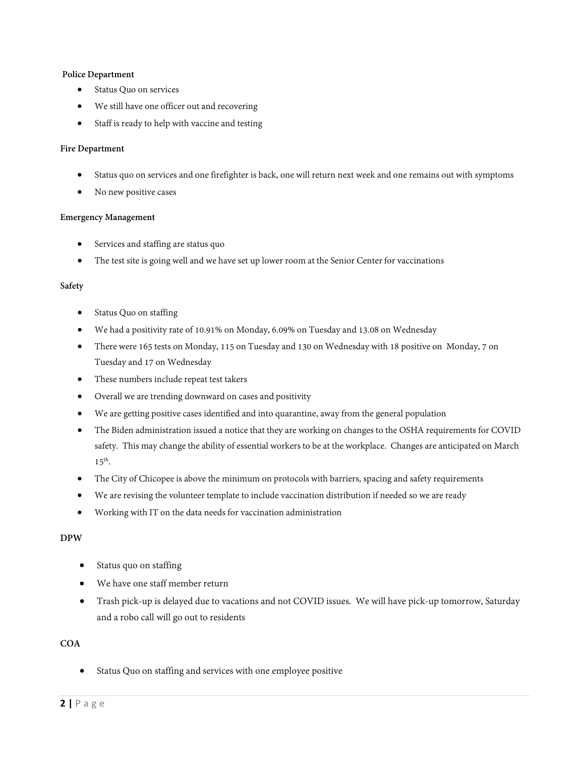### **Police Department**

- Status Quo on services
- We still have one officer out and recovering
- Staff is ready to help with vaccine and testing

#### **Fire Department**

- Status quo on services and one firefighter is back, one will return next week and one remains out with symptoms
- No new positive cases

#### **Emergency Management**

- Services and staffing are status quo
- The test site is going well and we have set up lower room at the Senior Center for vaccinations

#### **Safety**

- Status Quo on staffing
- We had a positivity rate of 10.91% on Monday, 6.09% on Tuesday and 13.08 on Wednesday
- There were 165 tests on Monday, 115 on Tuesday and 130 on Wednesday with 18 positive on Monday, 7 on Tuesday and 17 on Wednesday
- These numbers include repeat test takers
- Overall we are trending downward on cases and positivity
- We are getting positive cases identified and into quarantine, away from the general population
- The Biden administration issued a notice that they are working on changes to the OSHA requirements for COVID safety. This may change the ability of essential workers to be at the workplace. Changes are anticipated on March  $15<sup>th</sup>$ .
- The City of Chicopee is above the minimum on protocols with barriers, spacing and safety requirements
- We are revising the volunteer template to include vaccination distribution if needed so we are ready
- Working with IT on the data needs for vaccination administration

### **DPW**

- Status quo on staffing
- We have one staff member return
- Trash pick-up is delayed due to vacations and not COVID issues. We will have pick-up tomorrow, Saturday and a robo call will go out to residents

### **COA**

• Status Quo on staffing and services with one employee positive